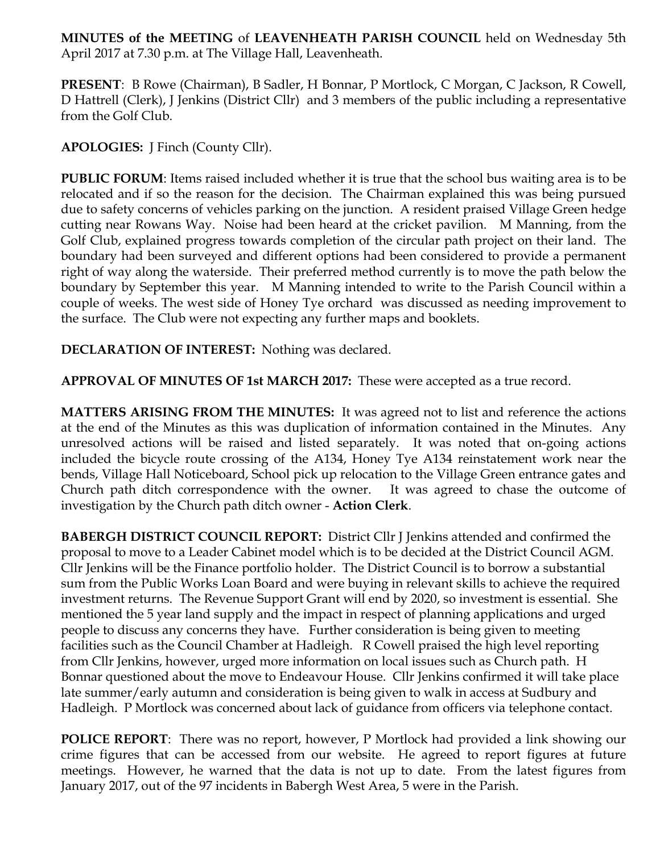**MINUTES of the MEETING** of **LEAVENHEATH PARISH COUNCIL** held on Wednesday 5th April 2017 at 7.30 p.m. at The Village Hall, Leavenheath.

**PRESENT**: B Rowe (Chairman), B Sadler, H Bonnar, P Mortlock, C Morgan, C Jackson, R Cowell, D Hattrell (Clerk), J Jenkins (District Cllr) and 3 members of the public including a representative from the Golf Club.

**APOLOGIES:** J Finch (County Cllr).

**PUBLIC FORUM**: Items raised included whether it is true that the school bus waiting area is to be relocated and if so the reason for the decision. The Chairman explained this was being pursued due to safety concerns of vehicles parking on the junction. A resident praised Village Green hedge cutting near Rowans Way. Noise had been heard at the cricket pavilion. M Manning, from the Golf Club, explained progress towards completion of the circular path project on their land. The boundary had been surveyed and different options had been considered to provide a permanent right of way along the waterside. Their preferred method currently is to move the path below the boundary by September this year. M Manning intended to write to the Parish Council within a couple of weeks. The west side of Honey Tye orchard was discussed as needing improvement to the surface. The Club were not expecting any further maps and booklets.

**DECLARATION OF INTEREST:** Nothing was declared.

**APPROVAL OF MINUTES OF 1st MARCH 2017:** These were accepted as a true record.

**MATTERS ARISING FROM THE MINUTES:** It was agreed not to list and reference the actions at the end of the Minutes as this was duplication of information contained in the Minutes. Any unresolved actions will be raised and listed separately. It was noted that on-going actions included the bicycle route crossing of the A134, Honey Tye A134 reinstatement work near the bends, Village Hall Noticeboard, School pick up relocation to the Village Green entrance gates and Church path ditch correspondence with the owner. It was agreed to chase the outcome of investigation by the Church path ditch owner - **Action Clerk**.

**BABERGH DISTRICT COUNCIL REPORT:** District Cllr J Jenkins attended and confirmed the proposal to move to a Leader Cabinet model which is to be decided at the District Council AGM. Cllr Jenkins will be the Finance portfolio holder. The District Council is to borrow a substantial sum from the Public Works Loan Board and were buying in relevant skills to achieve the required investment returns. The Revenue Support Grant will end by 2020, so investment is essential. She mentioned the 5 year land supply and the impact in respect of planning applications and urged people to discuss any concerns they have. Further consideration is being given to meeting facilities such as the Council Chamber at Hadleigh. R Cowell praised the high level reporting from Cllr Jenkins, however, urged more information on local issues such as Church path. H Bonnar questioned about the move to Endeavour House. Cllr Jenkins confirmed it will take place late summer/early autumn and consideration is being given to walk in access at Sudbury and Hadleigh. P Mortlock was concerned about lack of guidance from officers via telephone contact.

**POLICE REPORT:** There was no report, however, P Mortlock had provided a link showing our crime figures that can be accessed from our website. He agreed to report figures at future meetings. However, he warned that the data is not up to date. From the latest figures from January 2017, out of the 97 incidents in Babergh West Area, 5 were in the Parish.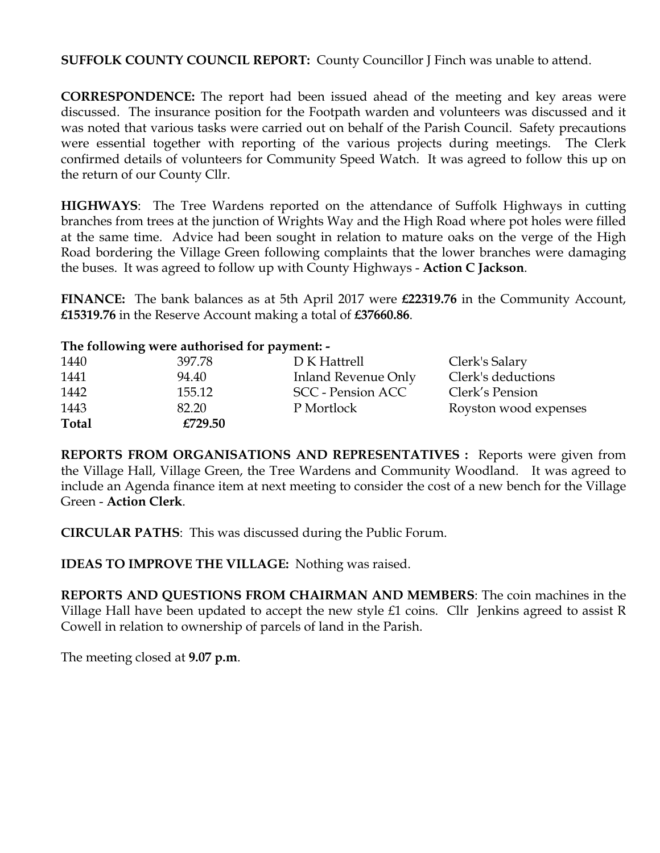**SUFFOLK COUNTY COUNCIL REPORT:** County Councillor J Finch was unable to attend.

**CORRESPONDENCE:** The report had been issued ahead of the meeting and key areas were discussed. The insurance position for the Footpath warden and volunteers was discussed and it was noted that various tasks were carried out on behalf of the Parish Council. Safety precautions were essential together with reporting of the various projects during meetings. The Clerk confirmed details of volunteers for Community Speed Watch. It was agreed to follow this up on the return of our County Cllr.

**HIGHWAYS**: The Tree Wardens reported on the attendance of Suffolk Highways in cutting branches from trees at the junction of Wrights Way and the High Road where pot holes were filled at the same time. Advice had been sought in relation to mature oaks on the verge of the High Road bordering the Village Green following complaints that the lower branches were damaging the buses. It was agreed to follow up with County Highways - **Action C Jackson**.

**FINANCE:** The bank balances as at 5th April 2017 were **£22319.76** in the Community Account, **£15319.76** in the Reserve Account making a total of **£37660.86**.

## **The following were authorised for payment: -**

| 1440         | 397.78  | D K Hattrell        | Clerk's Salary        |
|--------------|---------|---------------------|-----------------------|
| 1441         | 94.40   | Inland Revenue Only | Clerk's deductions    |
| 1442         | 155.12  | SCC - Pension ACC   | Clerk's Pension       |
| 1443         | 82.20   | P Mortlock          | Royston wood expenses |
| <b>Total</b> | £729.50 |                     |                       |

**REPORTS FROM ORGANISATIONS AND REPRESENTATIVES :** Reports were given from the Village Hall, Village Green, the Tree Wardens and Community Woodland. It was agreed to include an Agenda finance item at next meeting to consider the cost of a new bench for the Village Green - **Action Clerk**.

**CIRCULAR PATHS**: This was discussed during the Public Forum.

**IDEAS TO IMPROVE THE VILLAGE:** Nothing was raised.

**REPORTS AND QUESTIONS FROM CHAIRMAN AND MEMBERS**: The coin machines in the Village Hall have been updated to accept the new style £1 coins. Cllr Jenkins agreed to assist R Cowell in relation to ownership of parcels of land in the Parish.

The meeting closed at **9.07 p.m**.